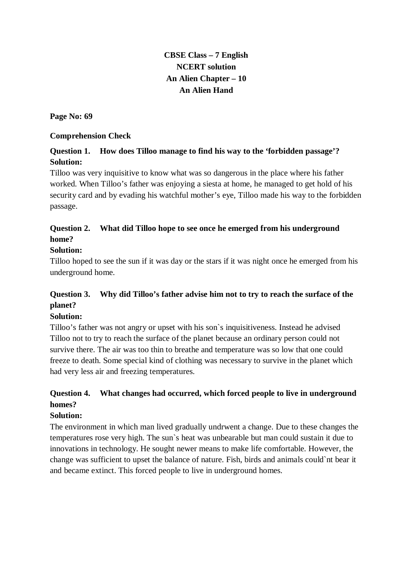# **CBSE Class – 7 English NCERT solution An Alien Chapter – 10 An Alien Hand**

**Page No: 69**

#### **Comprehension Check**

### **Question 1. How does Tilloo manage to find his way to the 'forbidden passage'? Solution:**

Tilloo was very inquisitive to know what was so dangerous in the place where his father worked. When Tilloo's father was enjoying a siesta at home, he managed to get hold of his security card and by evading his watchful mother's eye, Tilloo made his way to the forbidden passage.

## **Question 2. What did Tilloo hope to see once he emerged from his underground home?**

#### **Solution:**

Tilloo hoped to see the sun if it was day or the stars if it was night once he emerged from his underground home.

# **Question 3. Why did Tilloo's father advise him not to try to reach the surface of the planet?**

#### **Solution:**

Tilloo's father was not angry or upset with his son`s inquisitiveness. Instead he advised Tilloo not to try to reach the surface of the planet because an ordinary person could not survive there. The air was too thin to breathe and temperature was so low that one could freeze to death. Some special kind of clothing was necessary to survive in the planet which had very less air and freezing temperatures.

# **Question 4. What changes had occurred, which forced people to live in underground homes?**

#### **Solution:**

The environment in which man lived gradually undrwent a change. Due to these changes the temperatures rose very high. The sun`s heat was unbearable but man could sustain it due to innovations in technology. He sought newer means to make life comfortable. However, the change was sufficient to upset the balance of nature. Fish, birds and animals could`nt bear it and became extinct. This forced people to live in underground homes.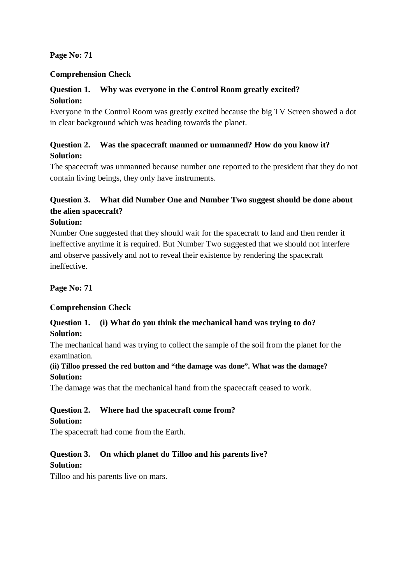#### **Page No: 71**

#### **Comprehension Check**

#### **Question 1. Why was everyone in the Control Room greatly excited? Solution:**

Everyone in the Control Room was greatly excited because the big TV Screen showed a dot in clear background which was heading towards the planet.

### **Question 2. Was the spacecraft manned or unmanned? How do you know it? Solution:**

The spacecraft was unmanned because number one reported to the president that they do not contain living beings, they only have instruments.

### **Question 3. What did Number One and Number Two suggest should be done about the alien spacecraft?**

#### **Solution:**

Number One suggested that they should wait for the spacecraft to land and then render it ineffective anytime it is required. But Number Two suggested that we should not interfere and observe passively and not to reveal their existence by rendering the spacecraft ineffective.

**Page No: 71**

#### **Comprehension Check**

#### **Question 1. (i) What do you think the mechanical hand was trying to do? Solution:**

The mechanical hand was trying to collect the sample of the soil from the planet for the examination.

#### **(ii) Tilloo pressed the red button and "the damage was done". What was the damage? Solution:**

The damage was that the mechanical hand from the spacecraft ceased to work.

#### **Question 2. Where had the spacecraft come from? Solution:**

The spacecraft had come from the Earth.

# **Question 3. On which planet do Tilloo and his parents live?**

#### **Solution:**

Tilloo and his parents live on mars.